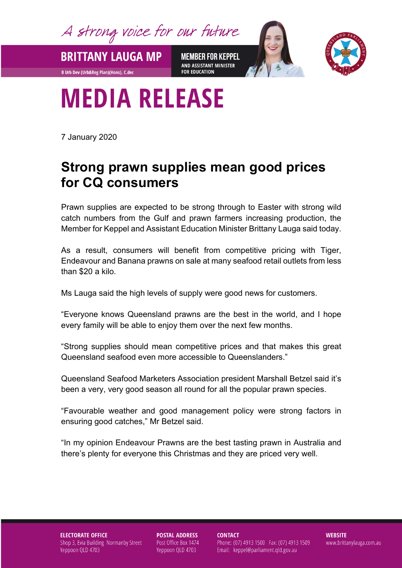A strong voice for our future

**BRITTANY LAUGA MP** 

**B Urb Dev (Urb&Reg Plan)(Hons), C.dec** 

**MEMBER FOR KEPPEL** AND ASSISTANT MINISTER **FOR EDUCATION** 



## **MEDIA RELEASE**

7 January 2020

## **Strong prawn supplies mean good prices for CQ consumers**

Prawn supplies are expected to be strong through to Easter with strong wild catch numbers from the Gulf and prawn farmers increasing production, the Member for Keppel and Assistant Education Minister Brittany Lauga said today.

As a result, consumers will benefit from competitive pricing with Tiger, Endeavour and Banana prawns on sale at many seafood retail outlets from less than \$20 a kilo.

Ms Lauga said the high levels of supply were good news for customers.

"Everyone knows Queensland prawns are the best in the world, and I hope every family will be able to enjoy them over the next few months.

"Strong supplies should mean competitive prices and that makes this great Queensland seafood even more accessible to Queenslanders."

Queensland Seafood Marketers Association president Marshall Betzel said it's been a very, very good season all round for all the popular prawn species.

"Favourable weather and good management policy were strong factors in ensuring good catches," Mr Betzel said.

"In my opinion Endeavour Prawns are the best tasting prawn in Australia and there's plenty for everyone this Christmas and they are priced very well.

## **ELECTORATE OFFICE** Shop 3, Evia Building Normanby Street Yeppoon QLD 4703

**POSTAL ADDRESS** Post Office Box 1474 Yeppoon QLD 4703

**CONTACT** 

Phone: (07) 4913 1500 Fax: (07) 4913 1509 Email: keppel@parliament.qld.gov.au

**WEBSITE** www.brittanylauga.com.au